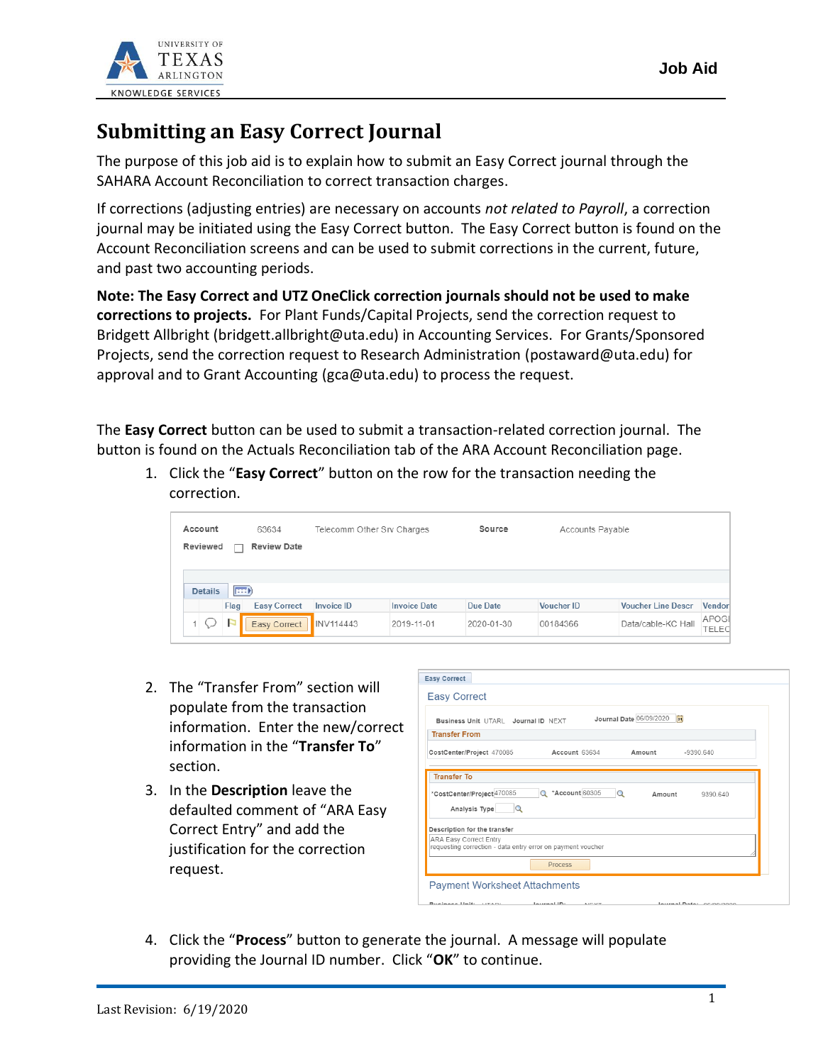

## **Submitting an Easy Correct Journal**

The purpose of this job aid is to explain how to submit an Easy Correct journal through the SAHARA Account Reconciliation to correct transaction charges.

If corrections (adjusting entries) are necessary on accounts *not related to Payroll*, a correction journal may be initiated using the Easy Correct button. The Easy Correct button is found on the Account Reconciliation screens and can be used to submit corrections in the current, future, and past two accounting periods.

**Note: The Easy Correct and UTZ OneClick correction journals should not be used to make corrections to projects.** For Plant Funds/Capital Projects, send the correction request to Bridgett Allbright (bridgett.allbright@uta.edu) in Accounting Services. For Grants/Sponsored Projects, send the correction request to Research Administration (postaward@uta.edu) for approval and to Grant Accounting (gca@uta.edu) to process the request.

The **Easy Correct** button can be used to submit a transaction-related correction journal. The button is found on the Actuals Reconciliation tab of the ARA Account Reconciliation page.

1. Click the "**Easy Correct**" button on the row for the transaction needing the correction.

| Account<br>Reviewed | 63634<br><b>Review Date</b><br>П | Telecomm Other Srv Charges |                     | Source     | Accounts Pavable  |                           |                       |
|---------------------|----------------------------------|----------------------------|---------------------|------------|-------------------|---------------------------|-----------------------|
| <b>Details</b>      | $  \overline{m}$                 |                            |                     |            |                   |                           |                       |
|                     | Flag<br><b>Easy Correct</b>      | <b>Invoice ID</b>          | <b>Invoice Date</b> | Due Date   | <b>Voucher ID</b> | <b>Voucher Line Descr</b> | Vendor                |
|                     | Easy Correct                     | INV114443                  | 2019-11-01          | 2020-01-30 | 00184366          | Data/cable-KC Hall        | APOGE<br><b>TELEC</b> |

- 2. The "Transfer From" section will populate from the transaction information. Enter the new/correct information in the "**Transfer To**" section.
- 3. In the **Description** leave the defaulted comment of "ARA Easy Correct Entry" and add the justification for the correction request.

|                                                                                                                       | B1 <br>Journal Date 06/09/2020<br>Business Unit UTARL Journal ID NEXT |
|-----------------------------------------------------------------------------------------------------------------------|-----------------------------------------------------------------------|
| <b>Transfer From</b>                                                                                                  |                                                                       |
| CostCenter/Project 470085                                                                                             | Account 63634<br>Amount<br>$-9390640$                                 |
| $\Omega$                                                                                                              |                                                                       |
| Analysis Type                                                                                                         |                                                                       |
| Description for the transfer<br>ARA Easy Correct Entry<br>requesting correction - data entry error on payment voucher |                                                                       |

4. Click the "**Process**" button to generate the journal. A message will populate providing the Journal ID number. Click "**OK**" to continue.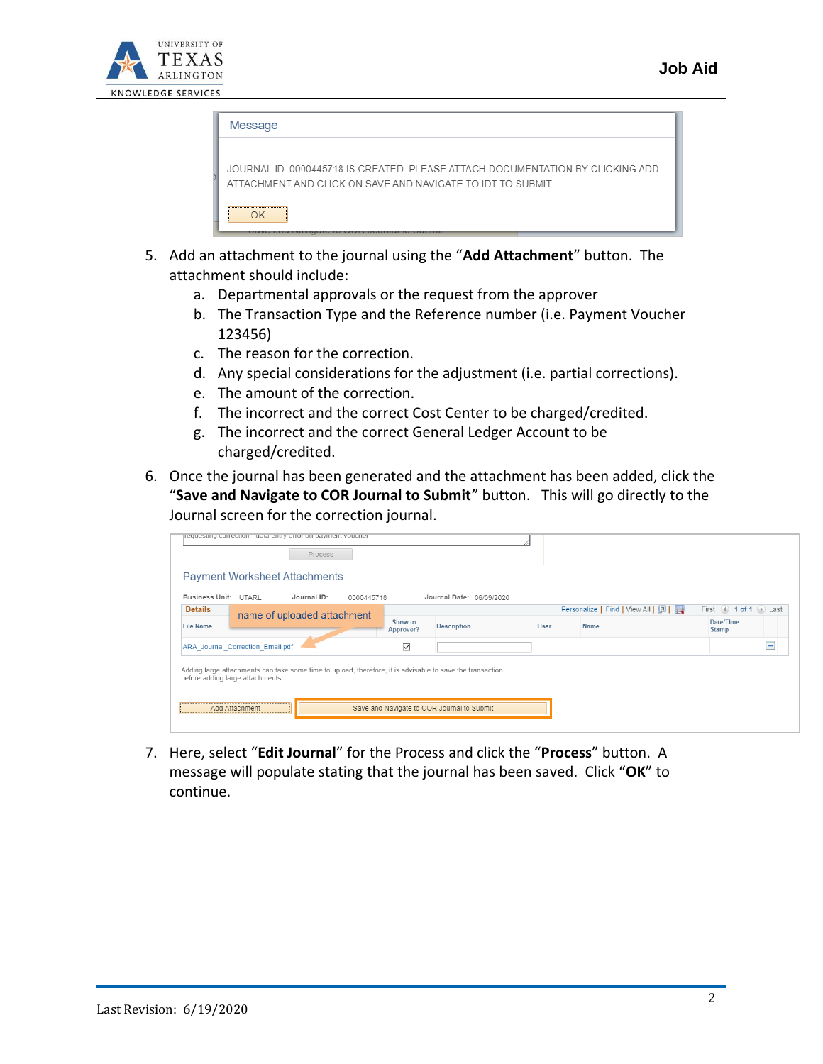

| Message                                                                                                                                       |
|-----------------------------------------------------------------------------------------------------------------------------------------------|
| JOURNAL ID: 0000445718 IS CREATED. PLEASE ATTACH DOCUMENTATION BY CLICKING ADD.<br>ATTACHMENT AND CLICK ON SAVE AND NAVIGATE TO IDT TO SUBMIT |
|                                                                                                                                               |

- 5. Add an attachment to the journal using the "**Add Attachment**" button. The attachment should include:
	- a. Departmental approvals or the request from the approver
	- b. The Transaction Type and the Reference number (i.e. Payment Voucher 123456)
	- c. The reason for the correction.
	- d. Any special considerations for the adjustment (i.e. partial corrections).
	- e. The amount of the correction.
	- f. The incorrect and the correct Cost Center to be charged/credited.
	- g. The incorrect and the correct General Ledger Account to be charged/credited.
- 6. Once the journal has been generated and the attachment has been added, click the "**Save and Navigate to COR Journal to Submit**" button. This will go directly to the Journal screen for the correction journal.

| pequesting correction - data entry error on payment voucher                                                                                   | Process                     |                      |                          |      |                                   |                           |                          |
|-----------------------------------------------------------------------------------------------------------------------------------------------|-----------------------------|----------------------|--------------------------|------|-----------------------------------|---------------------------|--------------------------|
| <b>Payment Worksheet Attachments</b>                                                                                                          |                             |                      |                          |      |                                   |                           |                          |
| Business Unit: UTARL                                                                                                                          | Journal ID:<br>0000445718   |                      | Journal Date: 06/09/2020 |      |                                   |                           |                          |
| <b>Details</b>                                                                                                                                | name of uploaded attachment |                      |                          |      | Personalize   Find   View All   2 | First 4 1 of 1 D Last     |                          |
| <b>File Name</b>                                                                                                                              |                             | Show to<br>Approver? | <b>Description</b>       | User | Name                              | Date/Time<br><b>Stamp</b> |                          |
| ARA Journal Correction Email.pdf                                                                                                              |                             | $\checkmark$         |                          |      |                                   |                           | $\overline{\phantom{a}}$ |
| Adding large attachments can take some time to upload, therefore, it is advisable to save the transaction<br>before adding large attachments. |                             |                      |                          |      |                                   |                           |                          |

7. Here, select "**Edit Journal**" for the Process and click the "**Process**" button. A message will populate stating that the journal has been saved. Click "**OK**" to continue.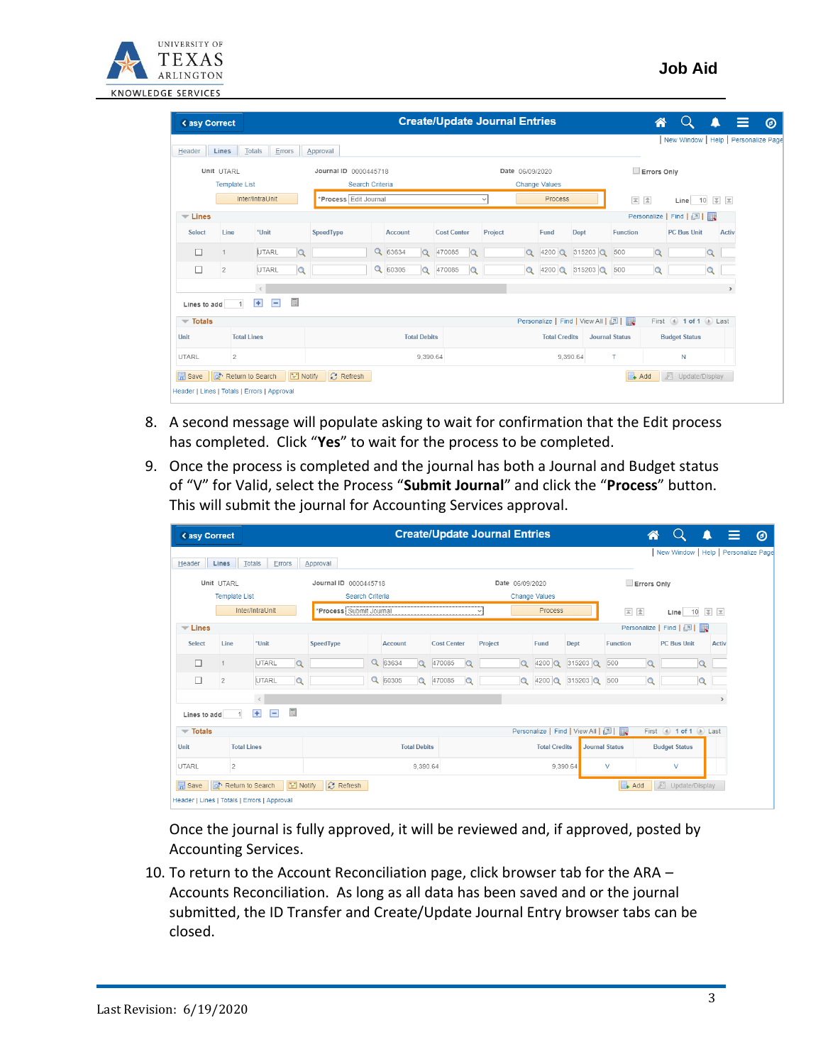

| < asy Correct                      |                      |                                                        |                       |                     | <b>Create/Update Journal Entries</b> |                         |                      |                      |                                   |                       | 谷           | $\left( \quad \right)$                  | $\equiv$<br>Ω | $\circledcirc$ |
|------------------------------------|----------------------|--------------------------------------------------------|-----------------------|---------------------|--------------------------------------|-------------------------|----------------------|----------------------|-----------------------------------|-----------------------|-------------|-----------------------------------------|---------------|----------------|
| Header                             | Lines                | <b>Totals</b><br>Errors                                | Approval              |                     |                                      |                         |                      |                      |                                   |                       |             | New Window   Help   Personalize Page    |               |                |
|                                    | Unit UTARL           |                                                        | Journal ID 0000445718 |                     |                                      |                         | Date 06/09/2020      |                      |                                   |                       | Errors Only |                                         |               |                |
|                                    | <b>Template List</b> |                                                        | Search Criteria       |                     |                                      |                         | <b>Change Values</b> |                      |                                   |                       |             |                                         |               |                |
|                                    |                      | Inter/IntraUnit                                        | *Process Edit Journal |                     |                                      | Process<br>$\checkmark$ |                      |                      |                                   | 国 全<br>工 工<br>Line 10 |             |                                         |               |                |
| $\equiv$ Lines                     |                      |                                                        |                       |                     |                                      |                         |                      |                      |                                   |                       |             | Personalize   Find   2                  |               |                |
| Select                             | Line                 | *Unit                                                  | SpeedType             | <b>Account</b>      | <b>Cost Center</b>                   | Project                 |                      | Fund                 | Dept                              | <b>Function</b>       |             | <b>PC Bus Unit</b>                      | Activ         |                |
| $\Box$                             | $\mathbf{1}$         | <b>UTARL</b><br>$\alpha$                               |                       | Q 63634<br>$\Omega$ | 470085                               |                         | $\alpha$             | $4200$ <sup>Q</sup>  | 315203 Q                          | 500                   | Q           | $\circ$                                 |               |                |
| $\Box$                             | $\overline{2}$       | UTARL<br>$\alpha$                                      |                       | Q 60305<br>$\alpha$ | 470085<br>$\Omega$                   |                         | $\alpha$             | $4200$ <sup>Q</sup>  | 315203 Q                          | 500                   | $\alpha$    | $\mathsf Q$                             |               |                |
|                                    |                      | $\, < \,$                                              |                       |                     |                                      |                         |                      |                      |                                   |                       |             |                                         | $\rightarrow$ |                |
| Lines to add                       |                      | $\overline{\phantom{a}}$<br>$\equiv$<br>$\overline{+}$ |                       |                     |                                      |                         |                      |                      |                                   |                       |             |                                         |               |                |
| $\overline{\phantom{a}}$ Totals    |                      |                                                        |                       |                     |                                      |                         |                      |                      | Personalize   Find   View All   2 |                       |             | First $\bigcirc$ 1 of 1 $\bigcirc$ Last |               |                |
| Unit                               |                      | <b>Total Lines</b>                                     |                       | <b>Total Debits</b> |                                      |                         |                      | <b>Total Credits</b> |                                   | <b>Journal Status</b> |             | <b>Budget Status</b>                    |               |                |
| UTARL                              | $\overline{2}$       |                                                        |                       | 9,390.64            |                                      | 9,390.64                |                      |                      |                                   | T                     |             | N                                       |               |                |
| $\left  \overline{ } \right $ Save |                      | <b>E</b> Notify<br>Return to Search                    | <b>C</b> Refresh      |                     |                                      |                         |                      |                      |                                   | $\Box$ Add            |             | <b>四</b> Update/Display                 |               |                |

- 8. A second message will populate asking to wait for confirmation that the Edit process has completed. Click "**Yes**" to wait for the process to be completed.
- 9. Once the process is completed and the journal has both a Journal and Budget status of "V" for Valid, select the Process "**Submit Journal**" and click the "**Process**" button. This will submit the journal for Accounting Services approval.

| < asy Correct                   |                      |                                                  |                         |                               |                    | <b>Create/Update Journal Entries</b> |                                   | ☎                       |                       | Ξ                                    |               |  |
|---------------------------------|----------------------|--------------------------------------------------|-------------------------|-------------------------------|--------------------|--------------------------------------|-----------------------------------|-------------------------|-----------------------|--------------------------------------|---------------|--|
| Header                          | Lines                | <b>Totals</b><br>Errors                          | Approval                |                               |                    |                                      |                                   |                         |                       | New Window   Help   Personalize Page |               |  |
|                                 | Unit UTARL           |                                                  | Journal ID 0000445718   |                               |                    | Date 06/09/2020                      |                                   |                         | Errors Only           |                                      |               |  |
|                                 | <b>Template List</b> |                                                  | Search Criteria         |                               |                    |                                      | <b>Change Values</b>              |                         |                       |                                      |               |  |
|                                 |                      | Inter/IntraUnit                                  | *Process Submit Journal |                               |                    | $\checkmark$                         | Process                           | 国全<br>工 工<br>10<br>Line |                       |                                      |               |  |
| $\equiv$ Lines                  |                      |                                                  |                         |                               |                    |                                      |                                   |                         |                       | Personalize   Find   2               |               |  |
| Select                          | Line                 | *Unit                                            | SpeedType               | Account                       | <b>Cost Center</b> | Project                              | Fund                              | Dept                    | Function              | <b>PC Bus Unit</b>                   | <b>Activ</b>  |  |
| п                               | $\overline{1}$       | UTARL<br>$\alpha$                                |                         | $\alpha$<br>63634<br>$\alpha$ | 470085<br>$\circ$  | $\alpha$                             | $4200$ $\alpha$                   | $315203$ $Q$            | 500<br>$\alpha$       | $\alpha$                             |               |  |
| □                               | $\overline{2}$       | UTARL<br>$\alpha$                                |                         | $\alpha$<br>60305<br>$\alpha$ | 470085<br>$\Omega$ | $\alpha$                             | $4200$ $\mathbf{Q}$               | 315203 Q                | 500<br>$\alpha$       | $\Omega$                             |               |  |
|                                 |                      | $\langle$                                        |                         |                               |                    |                                      |                                   |                         |                       |                                      | $\rightarrow$ |  |
| Lines to add                    |                      | $\overline{\mathbb{R}}$<br>$\overline{+}$<br>$=$ |                         |                               |                    |                                      |                                   |                         |                       |                                      |               |  |
| $\overline{\phantom{a}}$ Totals |                      |                                                  |                         |                               |                    |                                      | Personalize   Find   View All   2 |                         |                       | First 4 1 of 1 D Last                |               |  |
| Unit                            |                      | <b>Total Lines</b>                               |                         | <b>Total Debits</b>           |                    | <b>Total Credits</b>                 |                                   |                         | <b>Journal Status</b> | <b>Budget Status</b>                 |               |  |
| UTARL                           | $\overline{2}$       |                                                  |                         | 9,390.64                      |                    |                                      |                                   | 9,390.64                | V                     | $\vee$                               |               |  |
| $\Box$ Save                     | কি                   | $\boxed{\equiv}$ Notify<br>Return to Search      | <b>C</b> Refresh        |                               |                    |                                      |                                   |                         | $\Box$ Add            | <b>週</b> Update/Display              |               |  |
|                                 |                      | Header   Lines   Totals   Errors   Approval      |                         |                               |                    |                                      |                                   |                         |                       |                                      |               |  |

Once the journal is fully approved, it will be reviewed and, if approved, posted by Accounting Services.

10. To return to the Account Reconciliation page, click browser tab for the ARA – Accounts Reconciliation. As long as all data has been saved and or the journal submitted, the ID Transfer and Create/Update Journal Entry browser tabs can be closed.